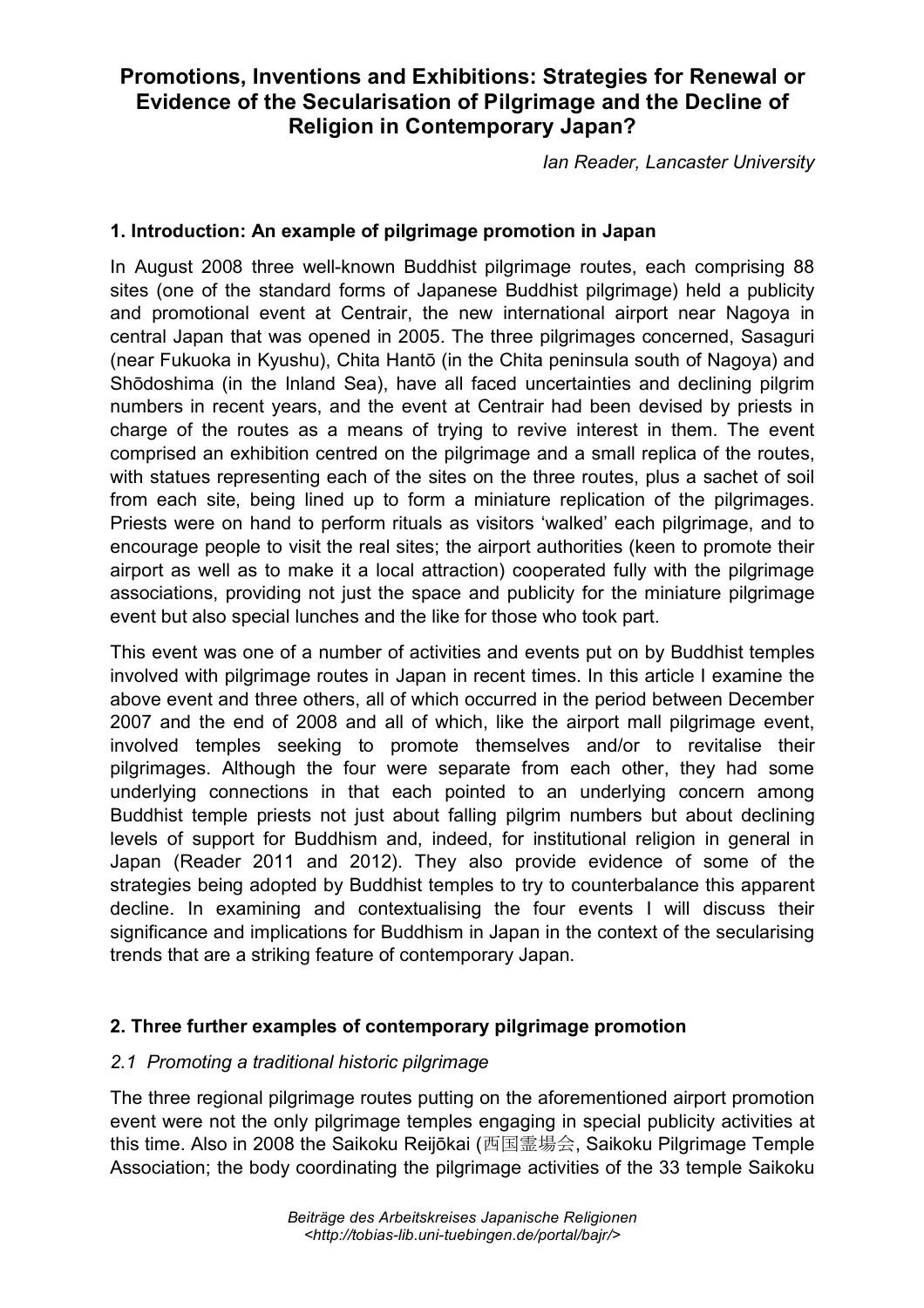# **Promotions, Inventions and Exhibitions: Strategies for Renewal or Evidence of the Secularisation of Pilgrimage and the Decline of Religion in Contemporary Japan?**

*Ian Reader, Lancaster University*

## **1. Introduction: An example of pilgrimage promotion in Japan**

In August 2008 three well-known Buddhist pilgrimage routes, each comprising 88 sites (one of the standard forms of Japanese Buddhist pilgrimage) held a publicity and promotional event at Centrair, the new international airport near Nagoya in central Japan that was opened in 2005. The three pilgrimages concerned, Sasaguri (near Fukuoka in Kyushu), Chita Hantō (in the Chita peninsula south of Nagoya) and Shōdoshima (in the Inland Sea), have all faced uncertainties and declining pilgrim numbers in recent years, and the event at Centrair had been devised by priests in charge of the routes as a means of trying to revive interest in them. The event comprised an exhibition centred on the pilgrimage and a small replica of the routes, with statues representing each of the sites on the three routes, plus a sachet of soil from each site, being lined up to form a miniature replication of the pilgrimages. Priests were on hand to perform rituals as visitors 'walked' each pilgrimage, and to encourage people to visit the real sites; the airport authorities (keen to promote their airport as well as to make it a local attraction) cooperated fully with the pilgrimage associations, providing not just the space and publicity for the miniature pilgrimage event but also special lunches and the like for those who took part.

This event was one of a number of activities and events put on by Buddhist temples involved with pilgrimage routes in Japan in recent times. In this article I examine the above event and three others, all of which occurred in the period between December 2007 and the end of 2008 and all of which, like the airport mall pilgrimage event, involved temples seeking to promote themselves and/or to revitalise their pilgrimages. Although the four were separate from each other, they had some underlying connections in that each pointed to an underlying concern among Buddhist temple priests not just about falling pilgrim numbers but about declining levels of support for Buddhism and, indeed, for institutional religion in general in Japan (Reader 2011 and 2012). They also provide evidence of some of the strategies being adopted by Buddhist temples to try to counterbalance this apparent decline. In examining and contextualising the four events I will discuss their significance and implications for Buddhism in Japan in the context of the secularising trends that are a striking feature of contemporary Japan.

# **2. Three further examples of contemporary pilgrimage promotion**

#### *2.1 Promoting a traditional historic pilgrimage*

The three regional pilgrimage routes putting on the aforementioned airport promotion event were not the only pilgrimage temples engaging in special publicity activities at this time. Also in 2008 the Saikoku Reijōkai (西国霊場会, Saikoku Pilgrimage Temple Association; the body coordinating the pilgrimage activities of the 33 temple Saikoku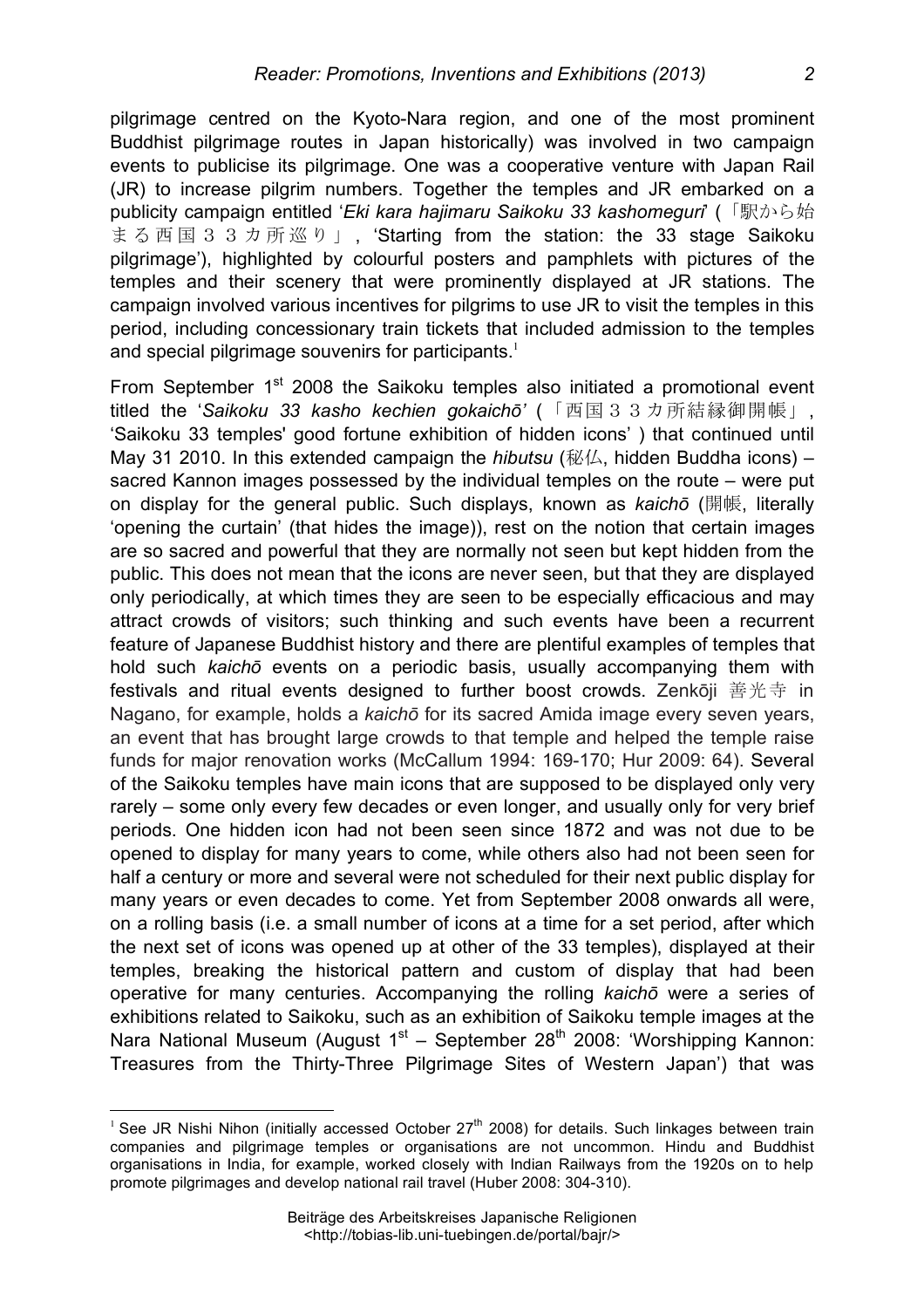pilgrimage centred on the Kyoto-Nara region, and one of the most prominent Buddhist pilgrimage routes in Japan historically) was involved in two campaign events to publicise its pilgrimage. One was a cooperative venture with Japan Rail (JR) to increase pilgrim numbers. Together the temples and JR embarked on a publicity campaign entitled '*Eki kara hajimaru Saikoku 33 kashomeguri*' (「駅から始 まる西国 3 3 カ所巡り」, 'Starting from the station: the 33 stage Saikoku pilgrimage'), highlighted by colourful posters and pamphlets with pictures of the temples and their scenery that were prominently displayed at JR stations. The campaign involved various incentives for pilgrims to use JR to visit the temples in this period, including concessionary train tickets that included admission to the temples and special pilgrimage souvenirs for participants.<sup>1</sup>

From September 1<sup>st</sup> 2008 the Saikoku temples also initiated a promotional event titled the '*Saikoku 33 kasho kechien gokaichō'* (「西国33カ所結縁御開帳」, 'Saikoku 33 temples' good fortune exhibition of hidden icons' ) that continued until May 31 2010. In this extended campaign the *hibutsu* (秘仏, hidden Buddha icons) – sacred Kannon images possessed by the individual temples on the route – were put on display for the general public. Such displays, known as *kaichō* (開帳, literally 'opening the curtain' (that hides the image)), rest on the notion that certain images are so sacred and powerful that they are normally not seen but kept hidden from the public. This does not mean that the icons are never seen, but that they are displayed only periodically, at which times they are seen to be especially efficacious and may attract crowds of visitors; such thinking and such events have been a recurrent feature of Japanese Buddhist history and there are plentiful examples of temples that hold such *kaichō* events on a periodic basis, usually accompanying them with festivals and ritual events designed to further boost crowds. Zenkōji 善光寺 in Nagano, for example, holds a *kaichō* for its sacred Amida image every seven years, an event that has brought large crowds to that temple and helped the temple raise funds for major renovation works (McCallum 1994: 169-170; Hur 2009: 64). Several of the Saikoku temples have main icons that are supposed to be displayed only very rarely – some only every few decades or even longer, and usually only for very brief periods. One hidden icon had not been seen since 1872 and was not due to be opened to display for many years to come, while others also had not been seen for half a century or more and several were not scheduled for their next public display for many years or even decades to come. Yet from September 2008 onwards all were, on a rolling basis (i.e. a small number of icons at a time for a set period, after which the next set of icons was opened up at other of the 33 temples), displayed at their temples, breaking the historical pattern and custom of display that had been operative for many centuries. Accompanying the rolling *kaichō* were a series of exhibitions related to Saikoku, such as an exhibition of Saikoku temple images at the Nara National Museum (August  $1<sup>st</sup>$  – September 28<sup>th</sup> 2008: 'Worshipping Kannon: Treasures from the Thirty-Three Pilgrimage Sites of Western Japan') that was

<sup>&</sup>lt;sup>1</sup> See JR Nishi Nihon (initially accessed October 27<sup>th</sup> 2008) for details. Such linkages between train companies and pilgrimage temples or organisations are not uncommon. Hindu and Buddhist organisations in India, for example, worked closely with Indian Railways from the 1920s on to help promote pilgrimages and develop national rail travel (Huber 2008: 304-310).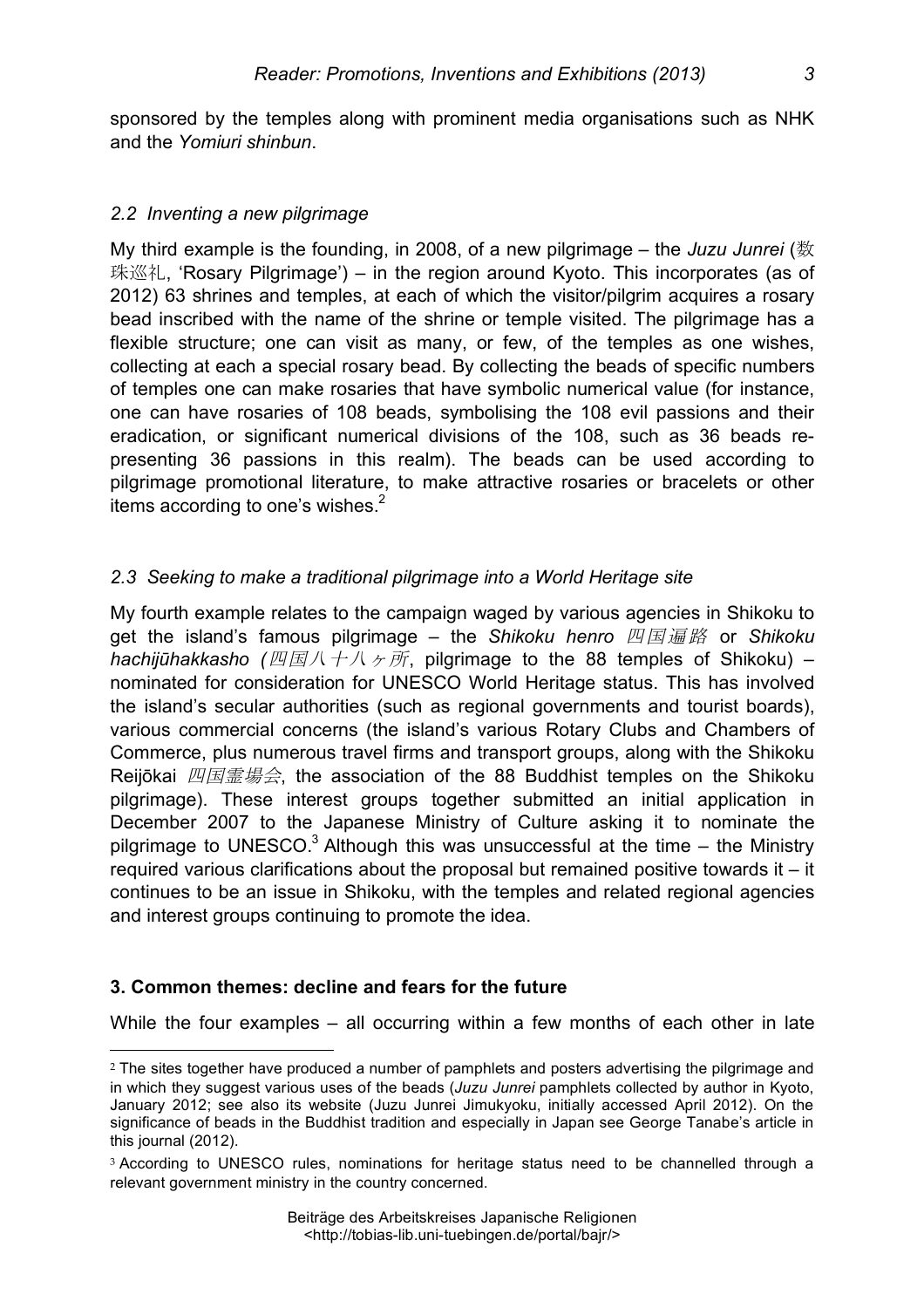sponsored by the temples along with prominent media organisations such as NHK and the *Yomiuri shinbun*.

#### *2.2 Inventing a new pilgrimage*

My third example is the founding, in 2008, of a new pilgrimage – the *Juzu Junrei* (数 珠巡礼, 'Rosary Pilgrimage') – in the region around Kyoto. This incorporates (as of 2012) 63 shrines and temples, at each of which the visitor/pilgrim acquires a rosary bead inscribed with the name of the shrine or temple visited. The pilgrimage has a flexible structure; one can visit as many, or few, of the temples as one wishes, collecting at each a special rosary bead. By collecting the beads of specific numbers of temples one can make rosaries that have symbolic numerical value (for instance, one can have rosaries of 108 beads, symbolising the 108 evil passions and their eradication, or significant numerical divisions of the 108, such as 36 beads representing 36 passions in this realm). The beads can be used according to pilgrimage promotional literature, to make attractive rosaries or bracelets or other items according to one's wishes. $2^2$ 

## *2.3 Seeking to make a traditional pilgrimage into a World Heritage site*

My fourth example relates to the campaign waged by various agencies in Shikoku to get the island's famous pilgrimage – the *Shikoku henro* 四国遍路 or *Shikoku hachijūhakkasho (*四国八十八ヶ所, pilgrimage to the 88 temples of Shikoku) – nominated for consideration for UNESCO World Heritage status. This has involved the island's secular authorities (such as regional governments and tourist boards), various commercial concerns (the island's various Rotary Clubs and Chambers of Commerce, plus numerous travel firms and transport groups, along with the Shikoku Reijōkai 四国霊場会, the association of the 88 Buddhist temples on the Shikoku pilgrimage). These interest groups together submitted an initial application in December 2007 to the Japanese Ministry of Culture asking it to nominate the pilgrimage to UNESCO. $3$  Although this was unsuccessful at the time  $-$  the Ministry required various clarifications about the proposal but remained positive towards it – it continues to be an issue in Shikoku, with the temples and related regional agencies and interest groups continuing to promote the idea.

#### **3. Common themes: decline and fears for the future**

 $\overline{a}$ 

While the four examples – all occurring within a few months of each other in late

<sup>&</sup>lt;sup>2</sup> The sites together have produced a number of pamphlets and posters advertising the pilgrimage and in which they suggest various uses of the beads (*Juzu Junrei* pamphlets collected by author in Kyoto, January 2012; see also its website (Juzu Junrei Jimukyoku, initially accessed April 2012). On the significance of beads in the Buddhist tradition and especially in Japan see George Tanabe's article in this journal (2012).

<sup>&</sup>lt;sup>3</sup> According to UNESCO rules, nominations for heritage status need to be channelled through a relevant government ministry in the country concerned.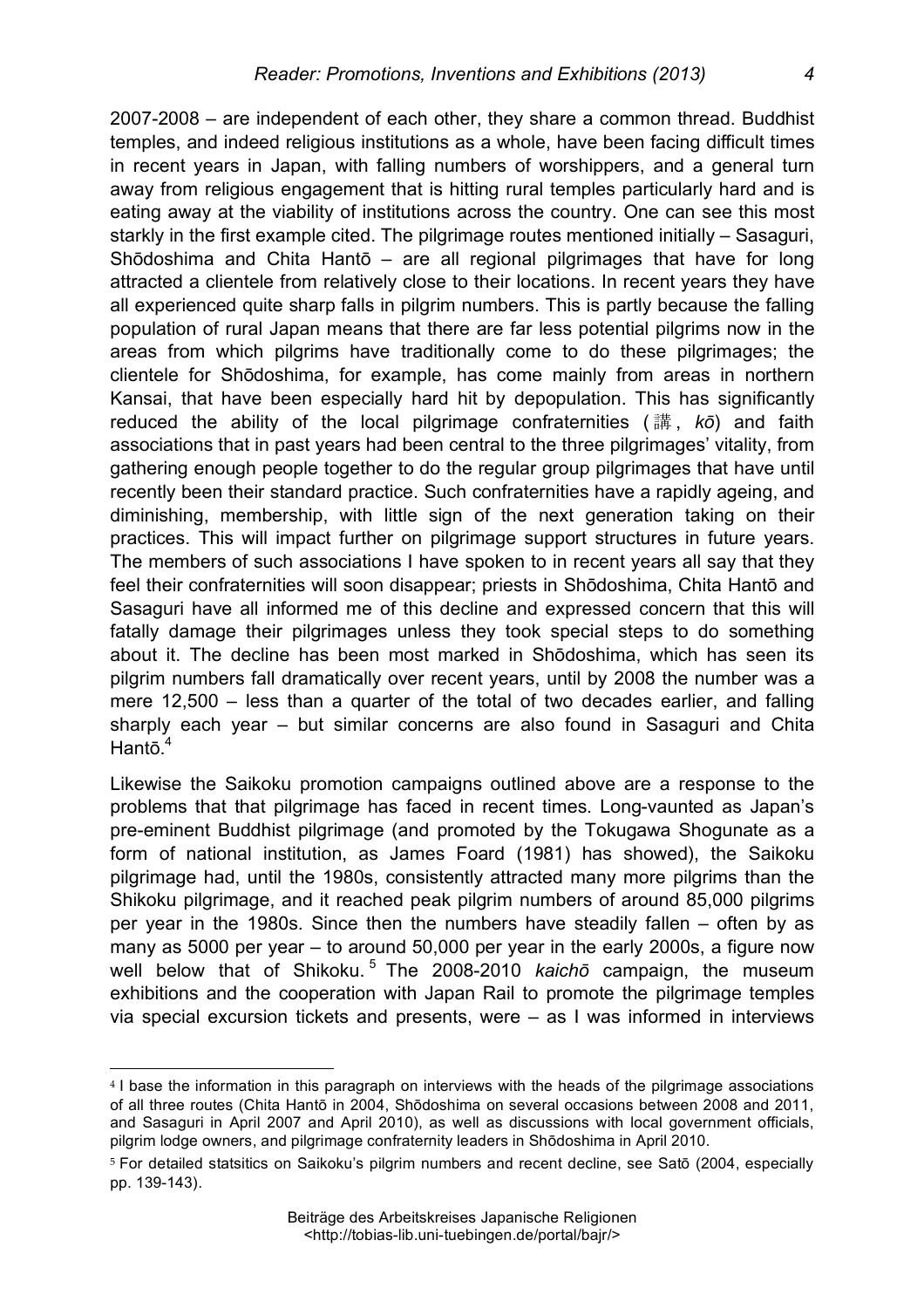2007-2008 – are independent of each other, they share a common thread. Buddhist temples, and indeed religious institutions as a whole, have been facing difficult times in recent years in Japan, with falling numbers of worshippers, and a general turn away from religious engagement that is hitting rural temples particularly hard and is eating away at the viability of institutions across the country. One can see this most starkly in the first example cited. The pilgrimage routes mentioned initially – Sasaguri, Shōdoshima and Chita Hantō – are all regional pilgrimages that have for long attracted a clientele from relatively close to their locations. In recent years they have all experienced quite sharp falls in pilgrim numbers. This is partly because the falling population of rural Japan means that there are far less potential pilgrims now in the areas from which pilgrims have traditionally come to do these pilgrimages; the clientele for Shōdoshima, for example, has come mainly from areas in northern Kansai, that have been especially hard hit by depopulation. This has significantly reduced the ability of the local pilgrimage confraternities ( 講 , *kō*) and faith associations that in past years had been central to the three pilgrimages' vitality, from gathering enough people together to do the regular group pilgrimages that have until recently been their standard practice. Such confraternities have a rapidly ageing, and diminishing, membership, with little sign of the next generation taking on their practices. This will impact further on pilgrimage support structures in future years. The members of such associations I have spoken to in recent years all say that they feel their confraternities will soon disappear; priests in Shōdoshima, Chita Hantō and Sasaguri have all informed me of this decline and expressed concern that this will fatally damage their pilgrimages unless they took special steps to do something about it. The decline has been most marked in Shōdoshima, which has seen its pilgrim numbers fall dramatically over recent years, until by 2008 the number was a mere 12,500 – less than a quarter of the total of two decades earlier, and falling sharply each year – but similar concerns are also found in Sasaguri and Chita Hantō.<sup>4</sup>

Likewise the Saikoku promotion campaigns outlined above are a response to the problems that that pilgrimage has faced in recent times. Long-vaunted as Japan's pre-eminent Buddhist pilgrimage (and promoted by the Tokugawa Shogunate as a form of national institution, as James Foard (1981) has showed), the Saikoku pilgrimage had, until the 1980s, consistently attracted many more pilgrims than the Shikoku pilgrimage, and it reached peak pilgrim numbers of around 85,000 pilgrims per year in the 1980s. Since then the numbers have steadily fallen – often by as many as 5000 per year – to around 50,000 per year in the early 2000s, a figure now well below that of Shikoku.<sup>5</sup> The 2008-2010 *kaicho* campaign, the museum exhibitions and the cooperation with Japan Rail to promote the pilgrimage temples via special excursion tickets and presents, were – as I was informed in interviews

<sup>4</sup> I base the information in this paragraph on interviews with the heads of the pilgrimage associations of all three routes (Chita Hantō in 2004, Shōdoshima on several occasions between 2008 and 2011, and Sasaguri in April 2007 and April 2010), as well as discussions with local government officials, pilgrim lodge owners, and pilgrimage confraternity leaders in Shōdoshima in April 2010.

<sup>5</sup> For detailed statsitics on Saikoku's pilgrim numbers and recent decline, see Satō (2004, especially pp. 139-143).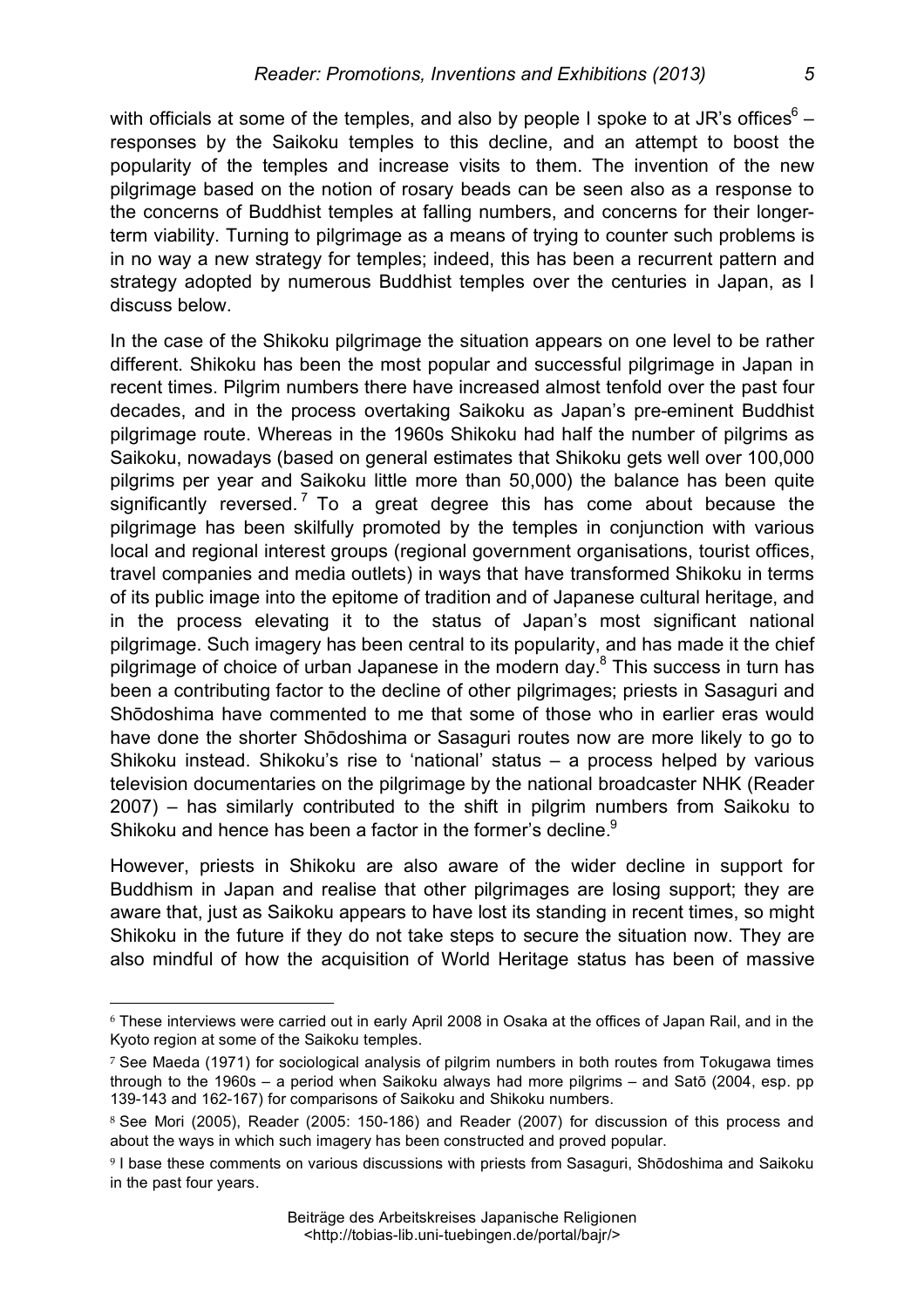with officials at some of the temples, and also by people I spoke to at JR's offices $6$ responses by the Saikoku temples to this decline, and an attempt to boost the popularity of the temples and increase visits to them. The invention of the new pilgrimage based on the notion of rosary beads can be seen also as a response to the concerns of Buddhist temples at falling numbers, and concerns for their longerterm viability. Turning to pilgrimage as a means of trying to counter such problems is in no way a new strategy for temples; indeed, this has been a recurrent pattern and strategy adopted by numerous Buddhist temples over the centuries in Japan, as I discuss below.

In the case of the Shikoku pilgrimage the situation appears on one level to be rather different. Shikoku has been the most popular and successful pilgrimage in Japan in recent times. Pilgrim numbers there have increased almost tenfold over the past four decades, and in the process overtaking Saikoku as Japan's pre-eminent Buddhist pilgrimage route. Whereas in the 1960s Shikoku had half the number of pilgrims as Saikoku, nowadays (based on general estimates that Shikoku gets well over 100,000 pilgrims per year and Saikoku little more than 50,000) the balance has been quite significantly reversed.<sup>7</sup> To a great degree this has come about because the pilgrimage has been skilfully promoted by the temples in conjunction with various local and regional interest groups (regional government organisations, tourist offices, travel companies and media outlets) in ways that have transformed Shikoku in terms of its public image into the epitome of tradition and of Japanese cultural heritage, and in the process elevating it to the status of Japan's most significant national pilgrimage. Such imagery has been central to its popularity, and has made it the chief pilgrimage of choice of urban Japanese in the modern day.<sup>8</sup> This success in turn has been a contributing factor to the decline of other pilgrimages; priests in Sasaguri and Shōdoshima have commented to me that some of those who in earlier eras would have done the shorter Shōdoshima or Sasaguri routes now are more likely to go to Shikoku instead. Shikoku's rise to 'national' status – a process helped by various television documentaries on the pilgrimage by the national broadcaster NHK (Reader 2007) – has similarly contributed to the shift in pilgrim numbers from Saikoku to Shikoku and hence has been a factor in the former's decline.<sup>9</sup>

However, priests in Shikoku are also aware of the wider decline in support for Buddhism in Japan and realise that other pilgrimages are losing support; they are aware that, just as Saikoku appears to have lost its standing in recent times, so might Shikoku in the future if they do not take steps to secure the situation now. They are also mindful of how the acquisition of World Heritage status has been of massive

<sup>6</sup> These interviews were carried out in early April 2008 in Osaka at the offices of Japan Rail, and in the Kyoto region at some of the Saikoku temples.

<sup>7</sup> See Maeda (1971) for sociological analysis of pilgrim numbers in both routes from Tokugawa times through to the 1960s – a period when Saikoku always had more pilgrims – and Satō (2004, esp. pp 139-143 and 162-167) for comparisons of Saikoku and Shikoku numbers.

<sup>8</sup> See Mori (2005), Reader (2005: 150-186) and Reader (2007) for discussion of this process and about the ways in which such imagery has been constructed and proved popular.

<sup>9</sup> I base these comments on various discussions with priests from Sasaguri, Shōdoshima and Saikoku in the past four years.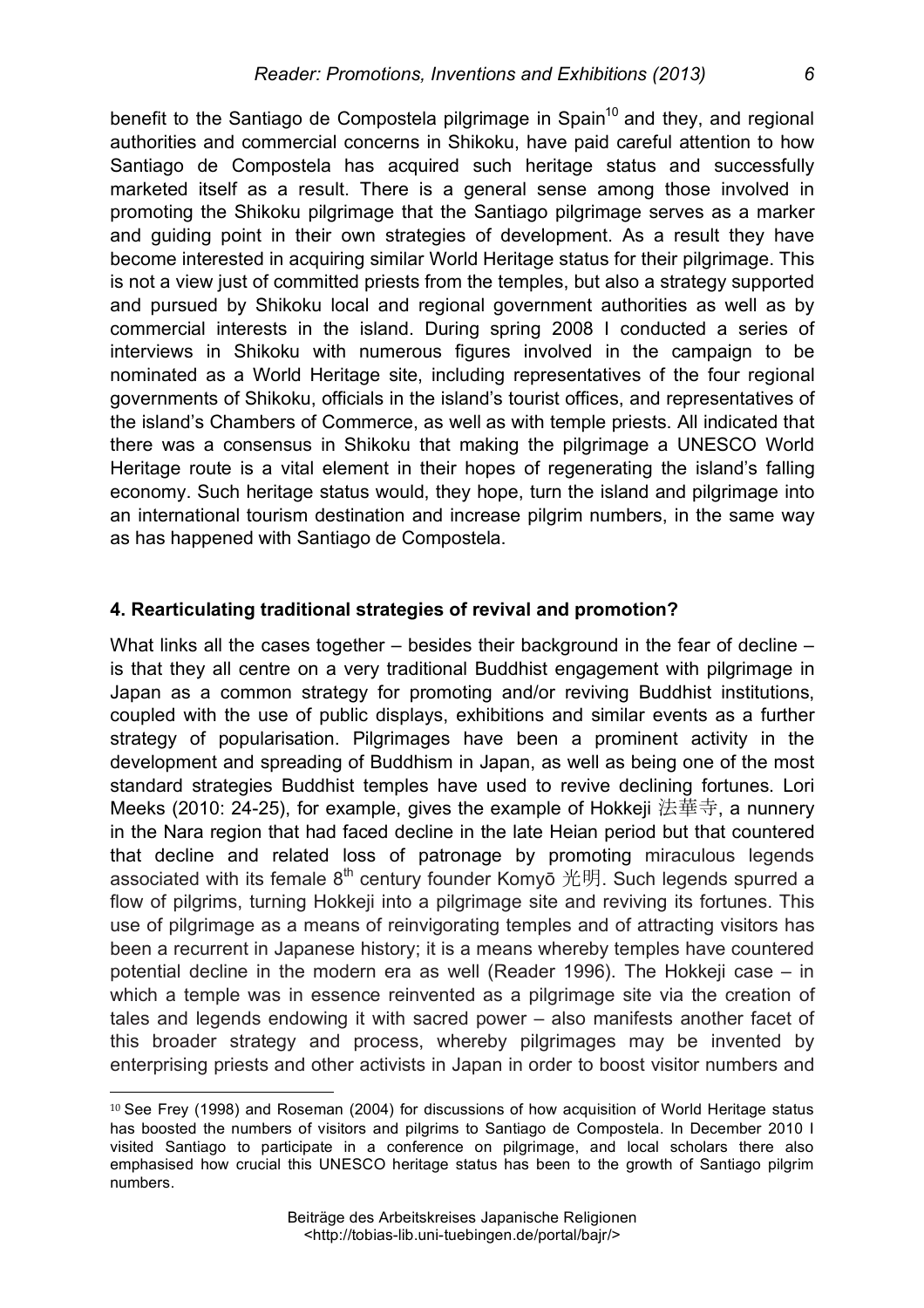benefit to the Santiago de Compostela pilgrimage in Spain<sup>10</sup> and they, and regional authorities and commercial concerns in Shikoku, have paid careful attention to how Santiago de Compostela has acquired such heritage status and successfully marketed itself as a result. There is a general sense among those involved in promoting the Shikoku pilgrimage that the Santiago pilgrimage serves as a marker and guiding point in their own strategies of development. As a result they have become interested in acquiring similar World Heritage status for their pilgrimage. This is not a view just of committed priests from the temples, but also a strategy supported and pursued by Shikoku local and regional government authorities as well as by commercial interests in the island. During spring 2008 I conducted a series of interviews in Shikoku with numerous figures involved in the campaign to be nominated as a World Heritage site, including representatives of the four regional governments of Shikoku, officials in the island's tourist offices, and representatives of the island's Chambers of Commerce, as well as with temple priests. All indicated that there was a consensus in Shikoku that making the pilgrimage a UNESCO World Heritage route is a vital element in their hopes of regenerating the island's falling economy. Such heritage status would, they hope, turn the island and pilgrimage into an international tourism destination and increase pilgrim numbers, in the same way as has happened with Santiago de Compostela.

# **4. Rearticulating traditional strategies of revival and promotion?**

What links all the cases together – besides their background in the fear of decline – is that they all centre on a very traditional Buddhist engagement with pilgrimage in Japan as a common strategy for promoting and/or reviving Buddhist institutions, coupled with the use of public displays, exhibitions and similar events as a further strategy of popularisation. Pilgrimages have been a prominent activity in the development and spreading of Buddhism in Japan, as well as being one of the most standard strategies Buddhist temples have used to revive declining fortunes. Lori Meeks (2010: 24-25), for example, gives the example of Hokkeji 法華寺, a nunnery in the Nara region that had faced decline in the late Heian period but that countered that decline and related loss of patronage by promoting miraculous legends associated with its female  $8<sup>th</sup>$  century founder Komyō 光明. Such legends spurred a flow of pilgrims, turning Hokkeji into a pilgrimage site and reviving its fortunes. This use of pilgrimage as a means of reinvigorating temples and of attracting visitors has been a recurrent in Japanese history; it is a means whereby temples have countered potential decline in the modern era as well (Reader 1996). The Hokkeji case – in which a temple was in essence reinvented as a pilgrimage site via the creation of tales and legends endowing it with sacred power – also manifests another facet of this broader strategy and process, whereby pilgrimages may be invented by enterprising priests and other activists in Japan in order to boost visitor numbers and

 $\overline{a}$ <sup>10</sup> See Frey (1998) and Roseman (2004) for discussions of how acquisition of World Heritage status has boosted the numbers of visitors and pilgrims to Santiago de Compostela. In December 2010 I visited Santiago to participate in a conference on pilgrimage, and local scholars there also emphasised how crucial this UNESCO heritage status has been to the growth of Santiago pilgrim numbers.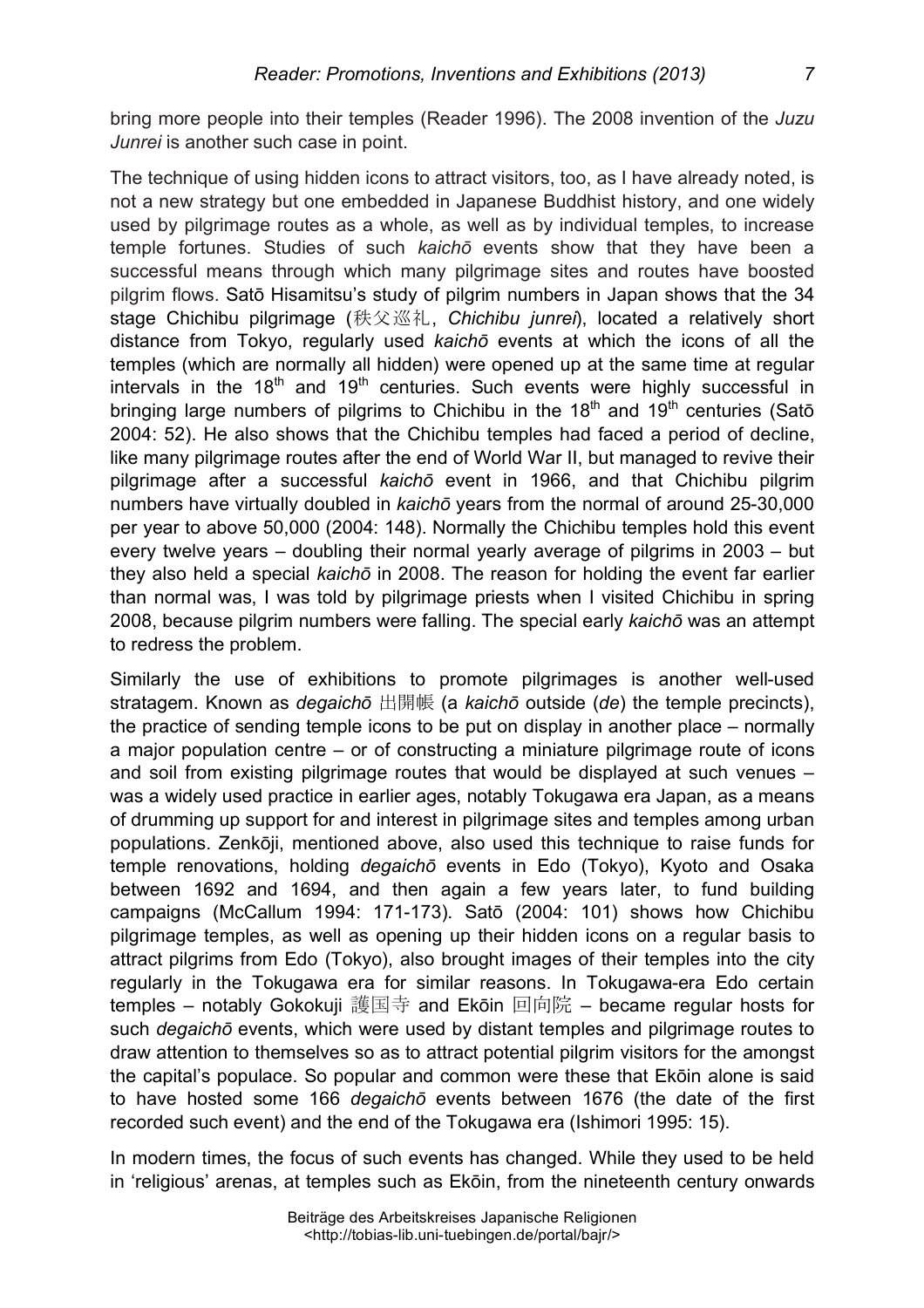bring more people into their temples (Reader 1996). The 2008 invention of the *Juzu Junrei* is another such case in point.

The technique of using hidden icons to attract visitors, too, as I have already noted, is not a new strategy but one embedded in Japanese Buddhist history, and one widely used by pilgrimage routes as a whole, as well as by individual temples, to increase temple fortunes. Studies of such *kaichō* events show that they have been a successful means through which many pilgrimage sites and routes have boosted pilgrim flows. Satō Hisamitsu's study of pilgrim numbers in Japan shows that the 34 stage Chichibu pilgrimage (秩父巡礼, *Chichibu junrei*), located a relatively short distance from Tokyo, regularly used *kaichō* events at which the icons of all the temples (which are normally all hidden) were opened up at the same time at regular intervals in the  $18<sup>th</sup>$  and  $19<sup>th</sup>$  centuries. Such events were highly successful in bringing large numbers of pilgrims to Chichibu in the  $18<sup>th</sup>$  and  $19<sup>th</sup>$  centuries (Satō 2004: 52). He also shows that the Chichibu temples had faced a period of decline, like many pilgrimage routes after the end of World War II, but managed to revive their pilgrimage after a successful *kaichō* event in 1966, and that Chichibu pilgrim numbers have virtually doubled in *kaichō* years from the normal of around 25-30,000 per year to above 50,000 (2004: 148). Normally the Chichibu temples hold this event every twelve years – doubling their normal yearly average of pilgrims in 2003 – but they also held a special *kaichō* in 2008. The reason for holding the event far earlier than normal was, I was told by pilgrimage priests when I visited Chichibu in spring 2008, because pilgrim numbers were falling. The special early *kaichō* was an attempt to redress the problem.

Similarly the use of exhibitions to promote pilgrimages is another well-used stratagem. Known as *degaichō* 出開帳 (a *kaichō* outside (*de*) the temple precincts), the practice of sending temple icons to be put on display in another place – normally a major population centre – or of constructing a miniature pilgrimage route of icons and soil from existing pilgrimage routes that would be displayed at such venues – was a widely used practice in earlier ages, notably Tokugawa era Japan, as a means of drumming up support for and interest in pilgrimage sites and temples among urban populations. Zenkōji, mentioned above, also used this technique to raise funds for temple renovations, holding *degaichō* events in Edo (Tokyo), Kyoto and Osaka between 1692 and 1694, and then again a few years later, to fund building campaigns (McCallum 1994: 171-173). Satō (2004: 101) shows how Chichibu pilgrimage temples, as well as opening up their hidden icons on a regular basis to attract pilgrims from Edo (Tokyo), also brought images of their temples into the city regularly in the Tokugawa era for similar reasons. In Tokugawa-era Edo certain temples – notably Gokokuji 護国寺 and Ekōin 回向院 – became regular hosts for such *degaichō* events, which were used by distant temples and pilgrimage routes to draw attention to themselves so as to attract potential pilgrim visitors for the amongst the capital's populace. So popular and common were these that Ekōin alone is said to have hosted some 166 *degaichō* events between 1676 (the date of the first recorded such event) and the end of the Tokugawa era (Ishimori 1995: 15).

In modern times, the focus of such events has changed. While they used to be held in 'religious' arenas, at temples such as Ekōin, from the nineteenth century onwards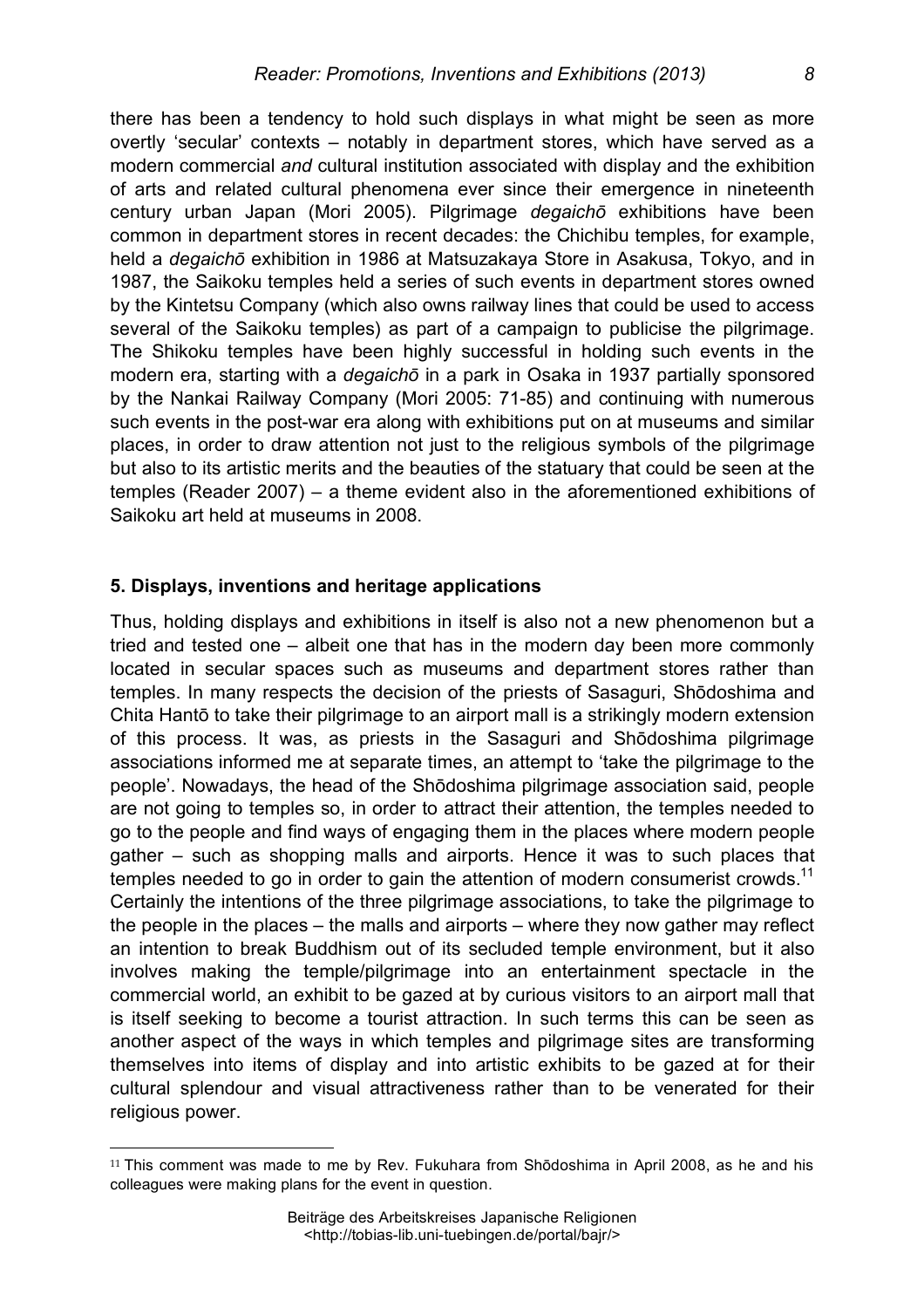there has been a tendency to hold such displays in what might be seen as more overtly 'secular' contexts – notably in department stores, which have served as a modern commercial *and* cultural institution associated with display and the exhibition of arts and related cultural phenomena ever since their emergence in nineteenth century urban Japan (Mori 2005). Pilgrimage *degaichō* exhibitions have been common in department stores in recent decades: the Chichibu temples, for example, held a *degaichō* exhibition in 1986 at Matsuzakaya Store in Asakusa, Tokyo, and in 1987, the Saikoku temples held a series of such events in department stores owned by the Kintetsu Company (which also owns railway lines that could be used to access several of the Saikoku temples) as part of a campaign to publicise the pilgrimage. The Shikoku temples have been highly successful in holding such events in the modern era, starting with a *degaichō* in a park in Osaka in 1937 partially sponsored by the Nankai Railway Company (Mori 2005: 71-85) and continuing with numerous such events in the post-war era along with exhibitions put on at museums and similar places, in order to draw attention not just to the religious symbols of the pilgrimage but also to its artistic merits and the beauties of the statuary that could be seen at the temples (Reader 2007) – a theme evident also in the aforementioned exhibitions of Saikoku art held at museums in 2008.

#### **5. Displays, inventions and heritage applications**

 $\overline{a}$ 

Thus, holding displays and exhibitions in itself is also not a new phenomenon but a tried and tested one – albeit one that has in the modern day been more commonly located in secular spaces such as museums and department stores rather than temples. In many respects the decision of the priests of Sasaguri, Shōdoshima and Chita Hantō to take their pilgrimage to an airport mall is a strikingly modern extension of this process. It was, as priests in the Sasaguri and Shōdoshima pilgrimage associations informed me at separate times, an attempt to 'take the pilgrimage to the people'. Nowadays, the head of the Shōdoshima pilgrimage association said, people are not going to temples so, in order to attract their attention, the temples needed to go to the people and find ways of engaging them in the places where modern people gather – such as shopping malls and airports. Hence it was to such places that temples needed to go in order to gain the attention of modern consumerist crowds.<sup>11</sup> Certainly the intentions of the three pilgrimage associations, to take the pilgrimage to the people in the places – the malls and airports – where they now gather may reflect an intention to break Buddhism out of its secluded temple environment, but it also involves making the temple/pilgrimage into an entertainment spectacle in the commercial world, an exhibit to be gazed at by curious visitors to an airport mall that is itself seeking to become a tourist attraction. In such terms this can be seen as another aspect of the ways in which temples and pilgrimage sites are transforming themselves into items of display and into artistic exhibits to be gazed at for their cultural splendour and visual attractiveness rather than to be venerated for their religious power.

<sup>11</sup> This comment was made to me by Rev. Fukuhara from Shōdoshima in April 2008, as he and his colleagues were making plans for the event in question.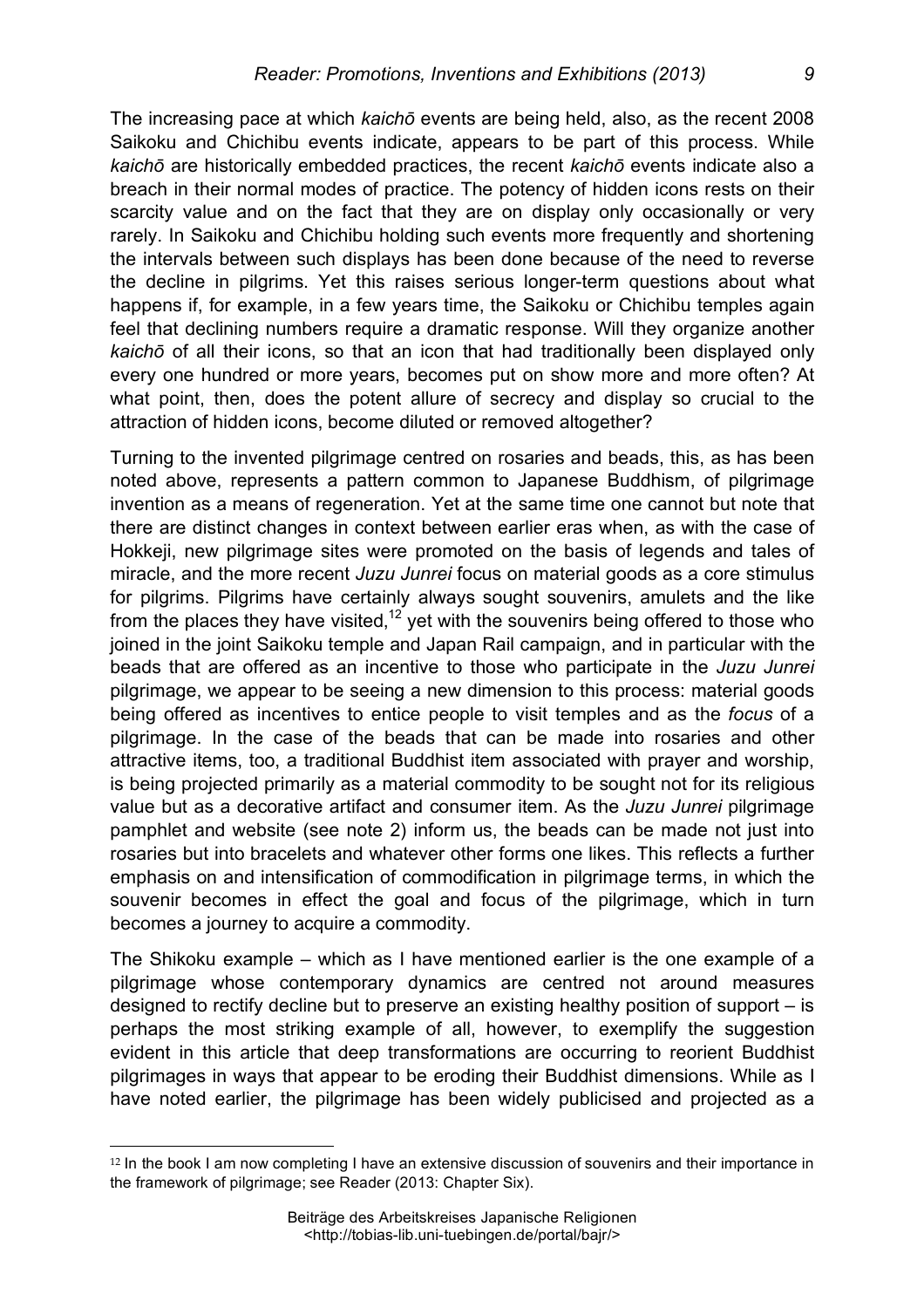The increasing pace at which *kaichō* events are being held, also, as the recent 2008 Saikoku and Chichibu events indicate, appears to be part of this process. While *kaichō* are historically embedded practices, the recent *kaichō* events indicate also a breach in their normal modes of practice. The potency of hidden icons rests on their scarcity value and on the fact that they are on display only occasionally or very rarely. In Saikoku and Chichibu holding such events more frequently and shortening the intervals between such displays has been done because of the need to reverse the decline in pilgrims. Yet this raises serious longer-term questions about what happens if, for example, in a few years time, the Saikoku or Chichibu temples again feel that declining numbers require a dramatic response. Will they organize another *kaichō* of all their icons, so that an icon that had traditionally been displayed only every one hundred or more years, becomes put on show more and more often? At what point, then, does the potent allure of secrecy and display so crucial to the attraction of hidden icons, become diluted or removed altogether?

Turning to the invented pilgrimage centred on rosaries and beads, this, as has been noted above, represents a pattern common to Japanese Buddhism, of pilgrimage invention as a means of regeneration. Yet at the same time one cannot but note that there are distinct changes in context between earlier eras when, as with the case of Hokkeji, new pilgrimage sites were promoted on the basis of legends and tales of miracle, and the more recent *Juzu Junrei* focus on material goods as a core stimulus for pilgrims. Pilgrims have certainly always sought souvenirs, amulets and the like from the places they have visited.<sup>12</sup> yet with the souvenirs being offered to those who joined in the joint Saikoku temple and Japan Rail campaign, and in particular with the beads that are offered as an incentive to those who participate in the *Juzu Junrei* pilgrimage, we appear to be seeing a new dimension to this process: material goods being offered as incentives to entice people to visit temples and as the *focus* of a pilgrimage. In the case of the beads that can be made into rosaries and other attractive items, too, a traditional Buddhist item associated with prayer and worship, is being projected primarily as a material commodity to be sought not for its religious value but as a decorative artifact and consumer item. As the *Juzu Junrei* pilgrimage pamphlet and website (see note 2) inform us, the beads can be made not just into rosaries but into bracelets and whatever other forms one likes. This reflects a further emphasis on and intensification of commodification in pilgrimage terms, in which the souvenir becomes in effect the goal and focus of the pilgrimage, which in turn becomes a journey to acquire a commodity.

The Shikoku example – which as I have mentioned earlier is the one example of a pilgrimage whose contemporary dynamics are centred not around measures designed to rectify decline but to preserve an existing healthy position of support – is perhaps the most striking example of all, however, to exemplify the suggestion evident in this article that deep transformations are occurring to reorient Buddhist pilgrimages in ways that appear to be eroding their Buddhist dimensions. While as I have noted earlier, the pilgrimage has been widely publicised and projected as a

<sup>12</sup> In the book I am now completing I have an extensive discussion of souvenirs and their importance in the framework of pilgrimage; see Reader (2013: Chapter Six).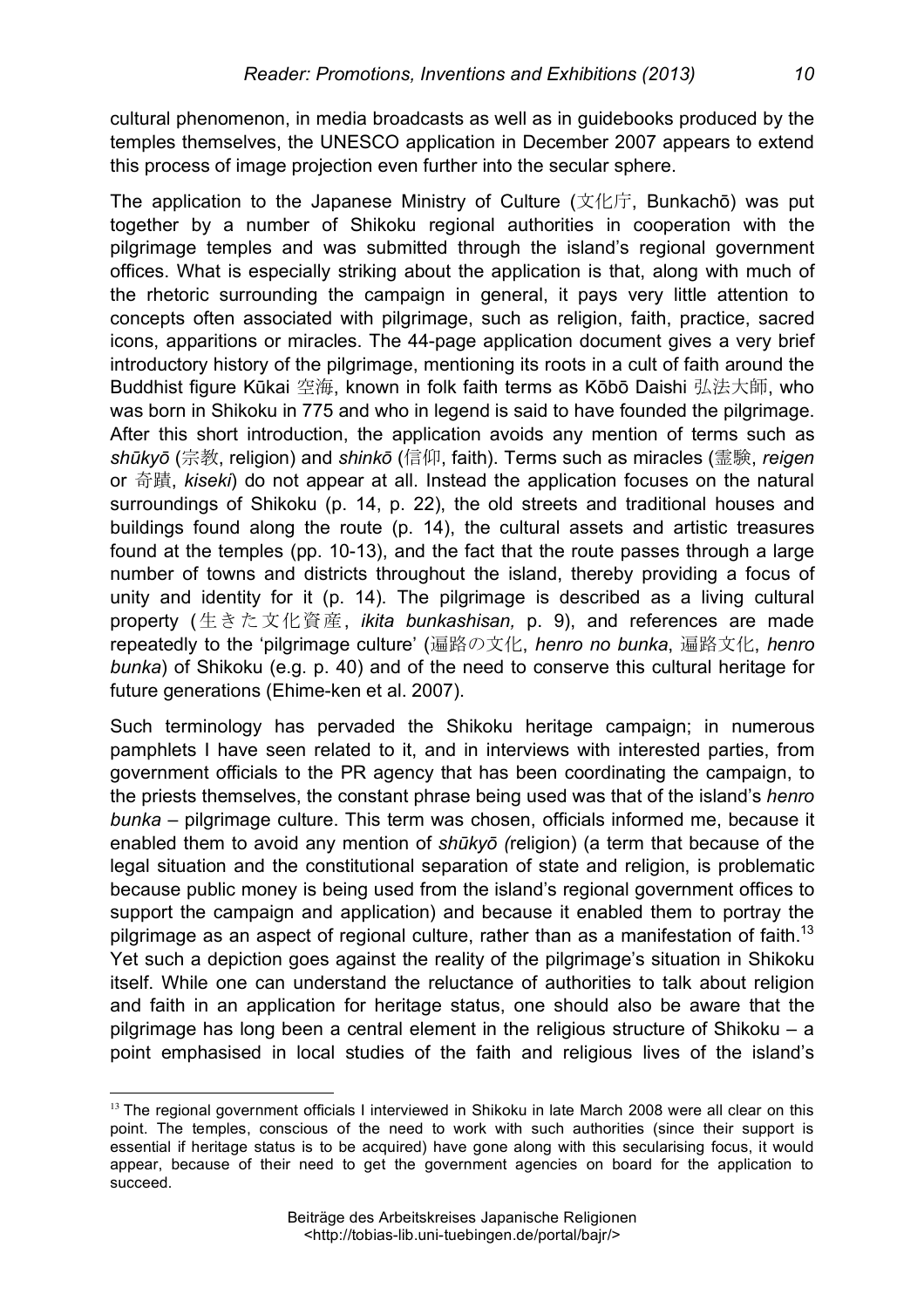cultural phenomenon, in media broadcasts as well as in guidebooks produced by the temples themselves, the UNESCO application in December 2007 appears to extend this process of image projection even further into the secular sphere.

The application to the Japanese Ministry of Culture (文化庁, Bunkachō) was put together by a number of Shikoku regional authorities in cooperation with the pilgrimage temples and was submitted through the island's regional government offices. What is especially striking about the application is that, along with much of the rhetoric surrounding the campaign in general, it pays very little attention to concepts often associated with pilgrimage, such as religion, faith, practice, sacred icons, apparitions or miracles. The 44-page application document gives a very brief introductory history of the pilgrimage, mentioning its roots in a cult of faith around the Buddhist figure Kūkai 空海, known in folk faith terms as Kōbō Daishi 弘法大師, who was born in Shikoku in 775 and who in legend is said to have founded the pilgrimage. After this short introduction, the application avoids any mention of terms such as *shūkyō* (宗教, religion) and *shinkō* (信仰, faith). Terms such as miracles (霊験, *reigen*  or 奇蹟, *kiseki*) do not appear at all. Instead the application focuses on the natural surroundings of Shikoku (p. 14, p. 22), the old streets and traditional houses and buildings found along the route (p. 14), the cultural assets and artistic treasures found at the temples (pp. 10-13), and the fact that the route passes through a large number of towns and districts throughout the island, thereby providing a focus of unity and identity for it (p. 14). The pilgrimage is described as a living cultural property (生きた文化資産, *ikita bunkashisan,* p. 9), and references are made repeatedly to the 'pilgrimage culture' (遍路の文化, *henro no bunka*, 遍路文化, *henro bunka*) of Shikoku (e.g. p. 40) and of the need to conserve this cultural heritage for future generations (Ehime-ken et al. 2007).

Such terminology has pervaded the Shikoku heritage campaign; in numerous pamphlets I have seen related to it, and in interviews with interested parties, from government officials to the PR agency that has been coordinating the campaign, to the priests themselves, the constant phrase being used was that of the island's *henro bunka* – pilgrimage culture. This term was chosen, officials informed me, because it enabled them to avoid any mention of *shūkyō (*religion) (a term that because of the legal situation and the constitutional separation of state and religion, is problematic because public money is being used from the island's regional government offices to support the campaign and application) and because it enabled them to portray the pilgrimage as an aspect of regional culture, rather than as a manifestation of faith.<sup>13</sup> Yet such a depiction goes against the reality of the pilgrimage's situation in Shikoku itself. While one can understand the reluctance of authorities to talk about religion and faith in an application for heritage status, one should also be aware that the pilgrimage has long been a central element in the religious structure of Shikoku – a point emphasised in local studies of the faith and religious lives of the island's

 $\overline{a}$  $13$  The regional government officials I interviewed in Shikoku in late March 2008 were all clear on this point. The temples, conscious of the need to work with such authorities (since their support is essential if heritage status is to be acquired) have gone along with this secularising focus, it would appear, because of their need to get the government agencies on board for the application to succeed.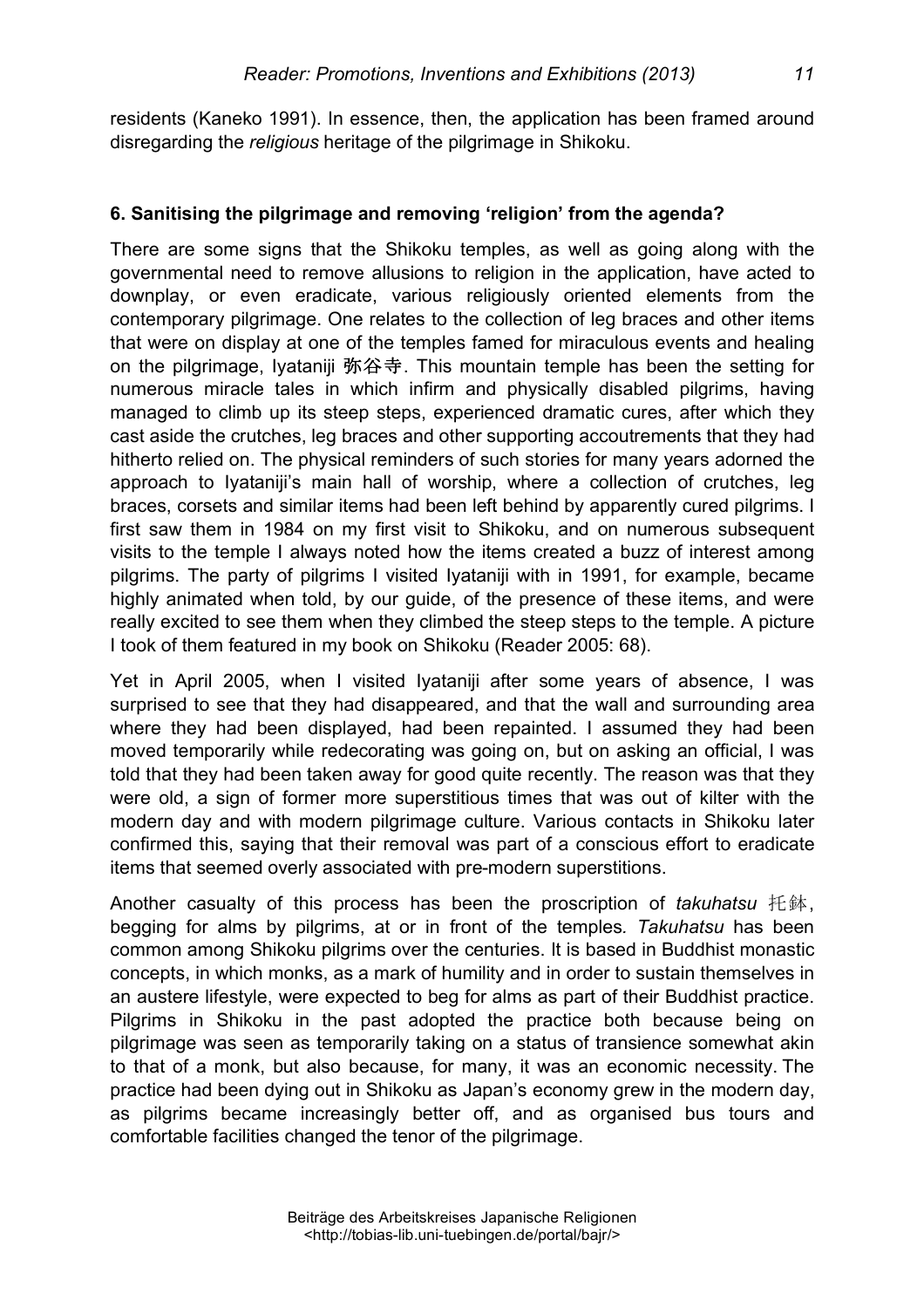residents (Kaneko 1991). In essence, then, the application has been framed around disregarding the *religious* heritage of the pilgrimage in Shikoku.

#### **6. Sanitising the pilgrimage and removing 'religion' from the agenda?**

There are some signs that the Shikoku temples, as well as going along with the governmental need to remove allusions to religion in the application, have acted to downplay, or even eradicate, various religiously oriented elements from the contemporary pilgrimage. One relates to the collection of leg braces and other items that were on display at one of the temples famed for miraculous events and healing on the pilgrimage, Iyataniji 弥谷寺. This mountain temple has been the setting for numerous miracle tales in which infirm and physically disabled pilgrims, having managed to climb up its steep steps, experienced dramatic cures, after which they cast aside the crutches, leg braces and other supporting accoutrements that they had hitherto relied on. The physical reminders of such stories for many years adorned the approach to Iyataniji's main hall of worship, where a collection of crutches, leg braces, corsets and similar items had been left behind by apparently cured pilgrims. I first saw them in 1984 on my first visit to Shikoku, and on numerous subsequent visits to the temple I always noted how the items created a buzz of interest among pilgrims. The party of pilgrims I visited Iyataniji with in 1991, for example, became highly animated when told, by our guide, of the presence of these items, and were really excited to see them when they climbed the steep steps to the temple. A picture I took of them featured in my book on Shikoku (Reader 2005: 68).

Yet in April 2005, when I visited Iyataniji after some years of absence, I was surprised to see that they had disappeared, and that the wall and surrounding area where they had been displayed, had been repainted. I assumed they had been moved temporarily while redecorating was going on, but on asking an official, I was told that they had been taken away for good quite recently. The reason was that they were old, a sign of former more superstitious times that was out of kilter with the modern day and with modern pilgrimage culture. Various contacts in Shikoku later confirmed this, saying that their removal was part of a conscious effort to eradicate items that seemed overly associated with pre-modern superstitions.

Another casualty of this process has been the proscription of *takuhatsu* 托鉢, begging for alms by pilgrims, at or in front of the temples*. Takuhatsu* has been common among Shikoku pilgrims over the centuries. It is based in Buddhist monastic concepts, in which monks, as a mark of humility and in order to sustain themselves in an austere lifestyle, were expected to beg for alms as part of their Buddhist practice. Pilgrims in Shikoku in the past adopted the practice both because being on pilgrimage was seen as temporarily taking on a status of transience somewhat akin to that of a monk, but also because, for many, it was an economic necessity. The practice had been dying out in Shikoku as Japan's economy grew in the modern day, as pilgrims became increasingly better off, and as organised bus tours and comfortable facilities changed the tenor of the pilgrimage.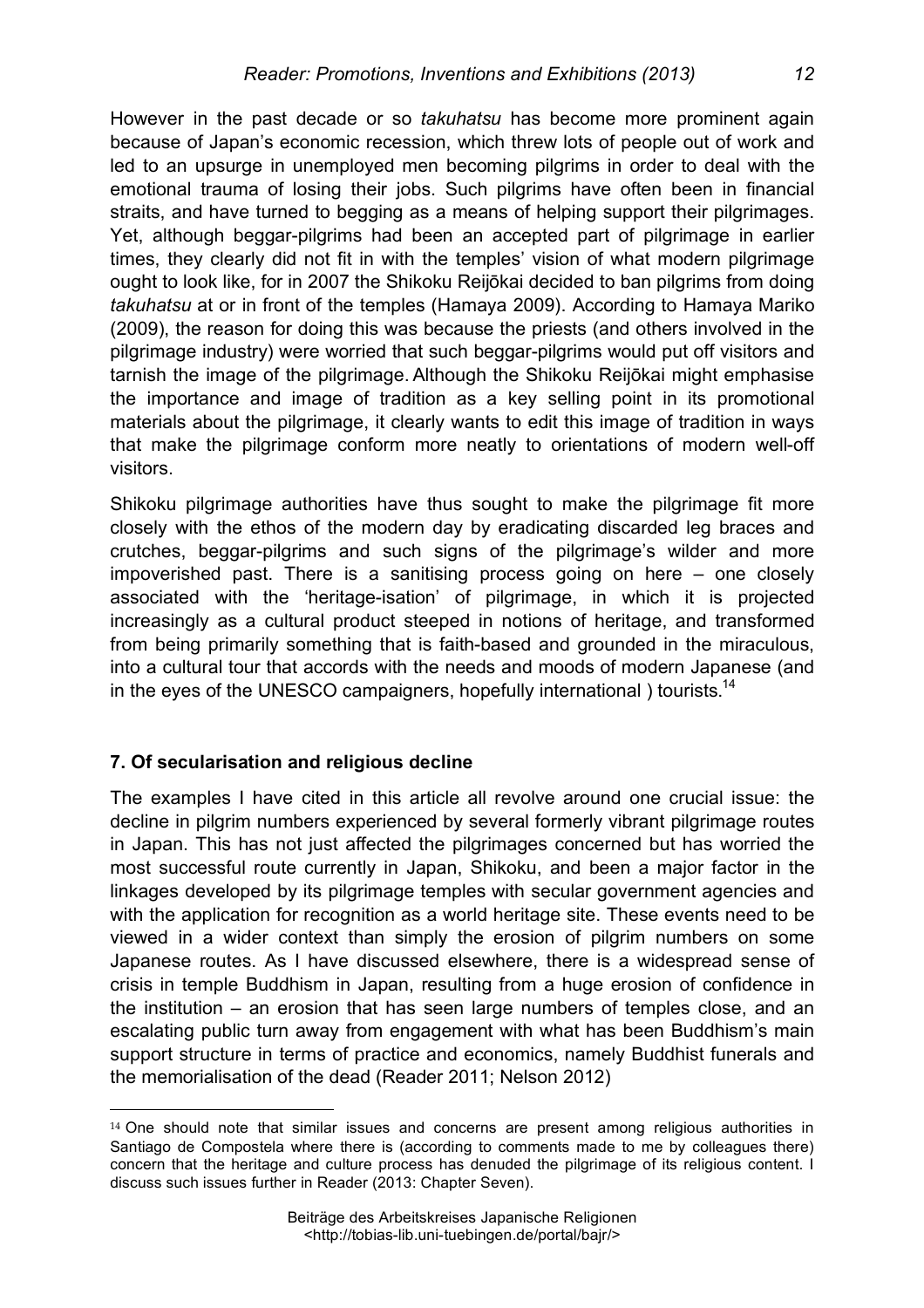However in the past decade or so *takuhatsu* has become more prominent again because of Japan's economic recession, which threw lots of people out of work and led to an upsurge in unemployed men becoming pilgrims in order to deal with the emotional trauma of losing their jobs. Such pilgrims have often been in financial straits, and have turned to begging as a means of helping support their pilgrimages. Yet, although beggar-pilgrims had been an accepted part of pilgrimage in earlier times, they clearly did not fit in with the temples' vision of what modern pilgrimage ought to look like, for in 2007 the Shikoku Reijōkai decided to ban pilgrims from doing *takuhatsu* at or in front of the temples (Hamaya 2009). According to Hamaya Mariko (2009), the reason for doing this was because the priests (and others involved in the pilgrimage industry) were worried that such beggar-pilgrims would put off visitors and tarnish the image of the pilgrimage. Although the Shikoku Reijōkai might emphasise the importance and image of tradition as a key selling point in its promotional materials about the pilgrimage, it clearly wants to edit this image of tradition in ways that make the pilgrimage conform more neatly to orientations of modern well-off visitors.

Shikoku pilgrimage authorities have thus sought to make the pilgrimage fit more closely with the ethos of the modern day by eradicating discarded leg braces and crutches, beggar-pilgrims and such signs of the pilgrimage's wilder and more impoverished past. There is a sanitising process going on here – one closely associated with the 'heritage-isation' of pilgrimage, in which it is projected increasingly as a cultural product steeped in notions of heritage, and transformed from being primarily something that is faith-based and grounded in the miraculous, into a cultural tour that accords with the needs and moods of modern Japanese (and in the eyes of the UNESCO campaigners, hopefully international ) tourists.<sup>14</sup>

# **7. Of secularisation and religious decline**

 $\overline{a}$ 

The examples I have cited in this article all revolve around one crucial issue: the decline in pilgrim numbers experienced by several formerly vibrant pilgrimage routes in Japan. This has not just affected the pilgrimages concerned but has worried the most successful route currently in Japan, Shikoku, and been a major factor in the linkages developed by its pilgrimage temples with secular government agencies and with the application for recognition as a world heritage site. These events need to be viewed in a wider context than simply the erosion of pilgrim numbers on some Japanese routes. As I have discussed elsewhere, there is a widespread sense of crisis in temple Buddhism in Japan, resulting from a huge erosion of confidence in the institution – an erosion that has seen large numbers of temples close, and an escalating public turn away from engagement with what has been Buddhism's main support structure in terms of practice and economics, namely Buddhist funerals and the memorialisation of the dead (Reader 2011; Nelson 2012)

 $14$  One should note that similar issues and concerns are present among religious authorities in Santiago de Compostela where there is (according to comments made to me by colleagues there) concern that the heritage and culture process has denuded the pilgrimage of its religious content. I discuss such issues further in Reader (2013: Chapter Seven).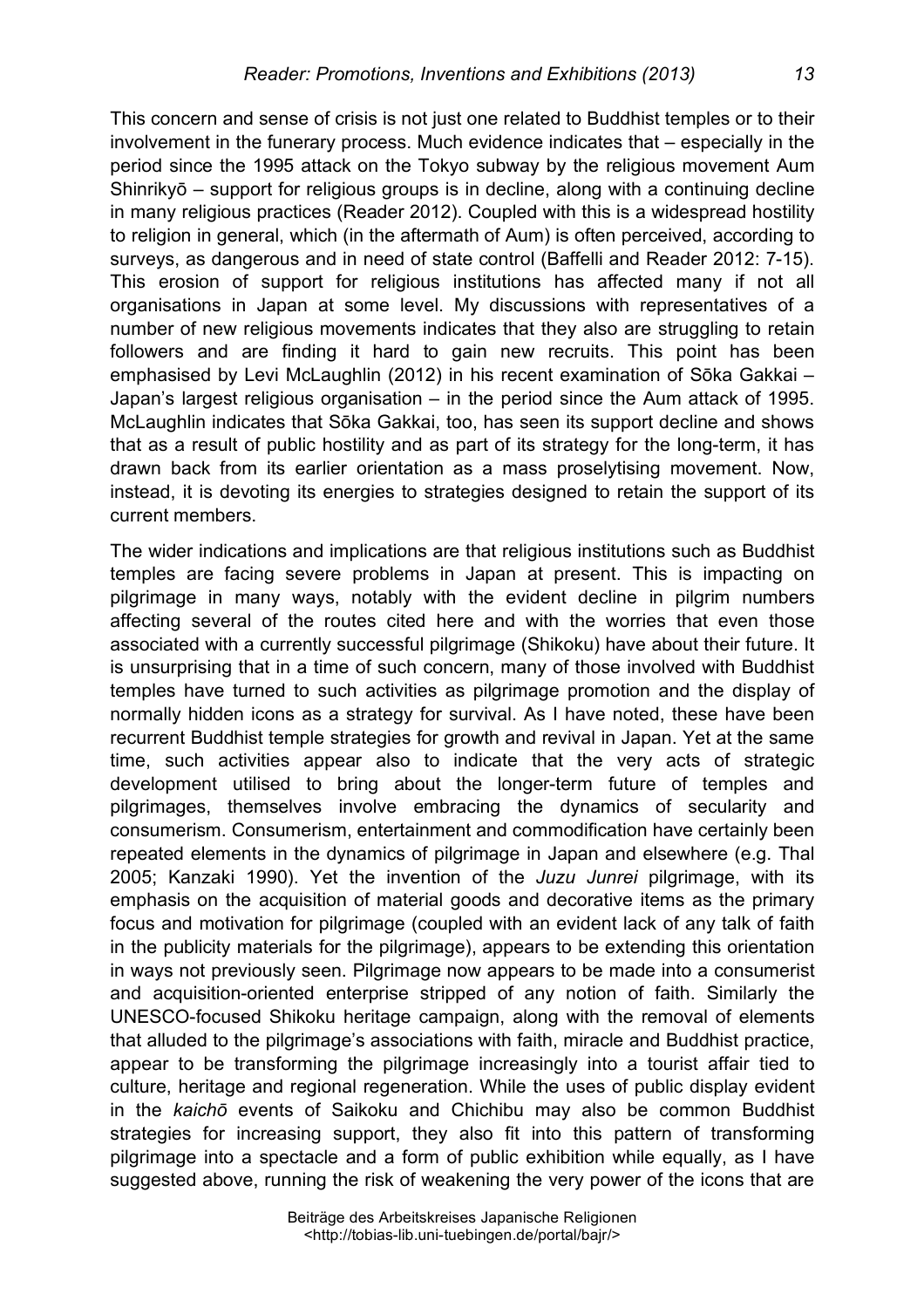This concern and sense of crisis is not just one related to Buddhist temples or to their involvement in the funerary process. Much evidence indicates that – especially in the period since the 1995 attack on the Tokyo subway by the religious movement Aum Shinrikyō – support for religious groups is in decline, along with a continuing decline in many religious practices (Reader 2012). Coupled with this is a widespread hostility to religion in general, which (in the aftermath of Aum) is often perceived, according to surveys, as dangerous and in need of state control (Baffelli and Reader 2012: 7-15). This erosion of support for religious institutions has affected many if not all organisations in Japan at some level. My discussions with representatives of a number of new religious movements indicates that they also are struggling to retain followers and are finding it hard to gain new recruits. This point has been emphasised by Levi McLaughlin (2012) in his recent examination of Sōka Gakkai – Japan's largest religious organisation – in the period since the Aum attack of 1995. McLaughlin indicates that Sōka Gakkai, too, has seen its support decline and shows that as a result of public hostility and as part of its strategy for the long-term, it has drawn back from its earlier orientation as a mass proselytising movement. Now, instead, it is devoting its energies to strategies designed to retain the support of its current members.

The wider indications and implications are that religious institutions such as Buddhist temples are facing severe problems in Japan at present. This is impacting on pilgrimage in many ways, notably with the evident decline in pilgrim numbers affecting several of the routes cited here and with the worries that even those associated with a currently successful pilgrimage (Shikoku) have about their future. It is unsurprising that in a time of such concern, many of those involved with Buddhist temples have turned to such activities as pilgrimage promotion and the display of normally hidden icons as a strategy for survival. As I have noted, these have been recurrent Buddhist temple strategies for growth and revival in Japan. Yet at the same time, such activities appear also to indicate that the very acts of strategic development utilised to bring about the longer-term future of temples and pilgrimages, themselves involve embracing the dynamics of secularity and consumerism. Consumerism, entertainment and commodification have certainly been repeated elements in the dynamics of pilgrimage in Japan and elsewhere (e.g. Thal 2005; Kanzaki 1990). Yet the invention of the *Juzu Junrei* pilgrimage, with its emphasis on the acquisition of material goods and decorative items as the primary focus and motivation for pilgrimage (coupled with an evident lack of any talk of faith in the publicity materials for the pilgrimage), appears to be extending this orientation in ways not previously seen. Pilgrimage now appears to be made into a consumerist and acquisition-oriented enterprise stripped of any notion of faith. Similarly the UNESCO-focused Shikoku heritage campaign, along with the removal of elements that alluded to the pilgrimage's associations with faith, miracle and Buddhist practice, appear to be transforming the pilgrimage increasingly into a tourist affair tied to culture, heritage and regional regeneration. While the uses of public display evident in the *kaichō* events of Saikoku and Chichibu may also be common Buddhist strategies for increasing support, they also fit into this pattern of transforming pilgrimage into a spectacle and a form of public exhibition while equally, as I have suggested above, running the risk of weakening the very power of the icons that are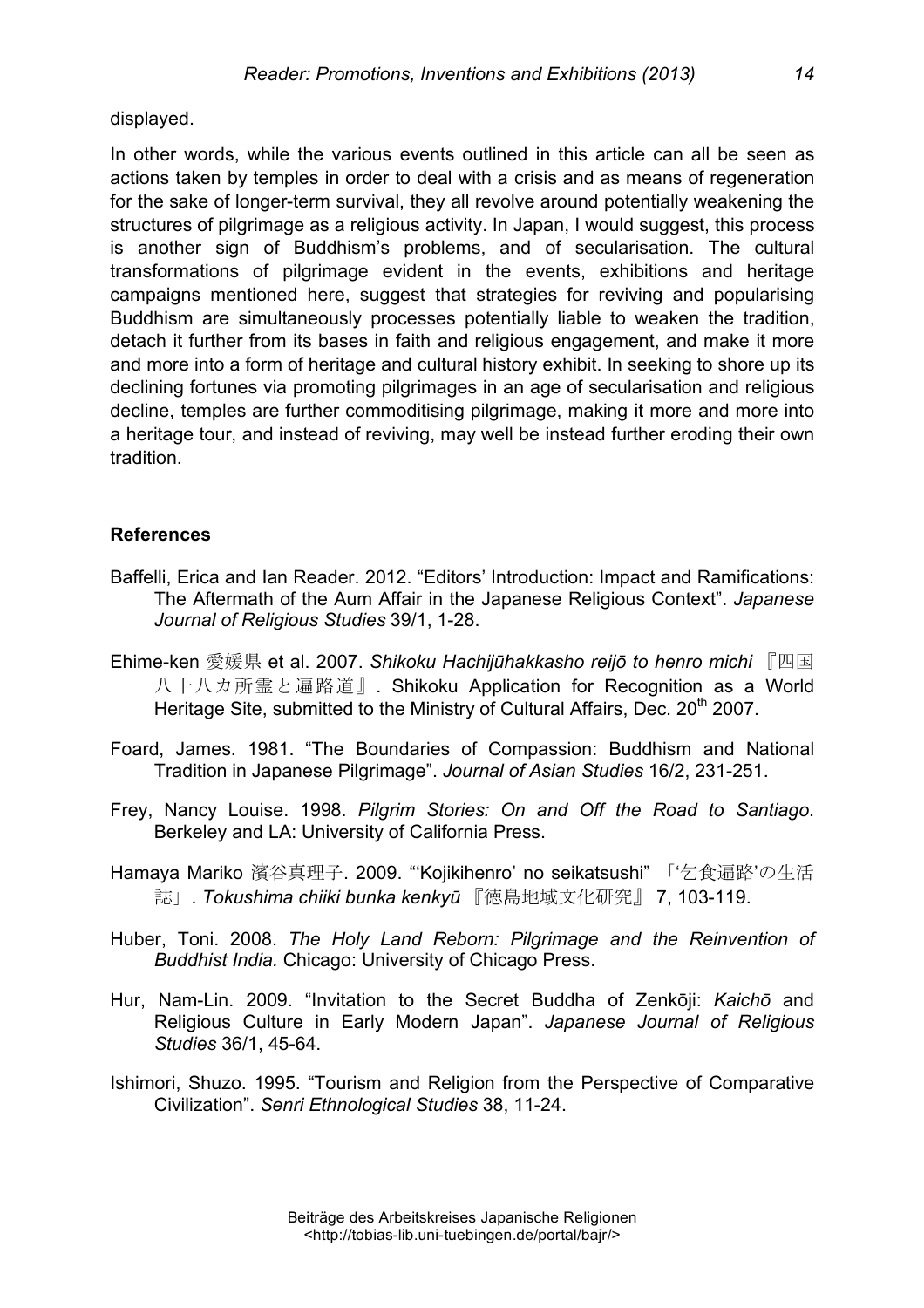displayed.

In other words, while the various events outlined in this article can all be seen as actions taken by temples in order to deal with a crisis and as means of regeneration for the sake of longer-term survival, they all revolve around potentially weakening the structures of pilgrimage as a religious activity. In Japan, I would suggest, this process is another sign of Buddhism's problems, and of secularisation. The cultural transformations of pilgrimage evident in the events, exhibitions and heritage campaigns mentioned here, suggest that strategies for reviving and popularising Buddhism are simultaneously processes potentially liable to weaken the tradition, detach it further from its bases in faith and religious engagement, and make it more and more into a form of heritage and cultural history exhibit. In seeking to shore up its declining fortunes via promoting pilgrimages in an age of secularisation and religious decline, temples are further commoditising pilgrimage, making it more and more into a heritage tour, and instead of reviving, may well be instead further eroding their own tradition.

## **References**

- Baffelli, Erica and Ian Reader. 2012. "Editors' Introduction: Impact and Ramifications: The Aftermath of the Aum Affair in the Japanese Religious Context". *Japanese Journal of Religious Studies* 39/1, 1-28.
- Ehime-ken 愛媛県 et al. 2007. *Shikoku Hachijūhakkasho reijō to henro michi* 『四国 八十八カ所霊と遍路道』. Shikoku Application for Recognition as a World Heritage Site, submitted to the Ministry of Cultural Affairs. Dec. 20<sup>th</sup> 2007.
- Foard, James. 1981. "The Boundaries of Compassion: Buddhism and National Tradition in Japanese Pilgrimage". *Journal of Asian Studies* 16/2, 231-251.
- Frey, Nancy Louise. 1998. *Pilgrim Stories: On and Off the Road to Santiago*. Berkeley and LA: University of California Press.
- Hamaya Mariko 濱谷真理子. 2009. "'Kojikihenro' no seikatsushi" 「'乞食遍路'の生活 誌」. *Tokushima chiiki bunka kenkyū* 『徳島地域文化研究』 7, 103-119.
- Huber, Toni. 2008. *The Holy Land Reborn: Pilgrimage and the Reinvention of Buddhist India.* Chicago: University of Chicago Press.
- Hur, Nam-Lin. 2009. "Invitation to the Secret Buddha of Zenkōji: *Kaichō* and Religious Culture in Early Modern Japan". *Japanese Journal of Religious Studies* 36/1, 45-64.
- Ishimori, Shuzo. 1995. "Tourism and Religion from the Perspective of Comparative Civilization". *Senri Ethnological Studies* 38, 11-24.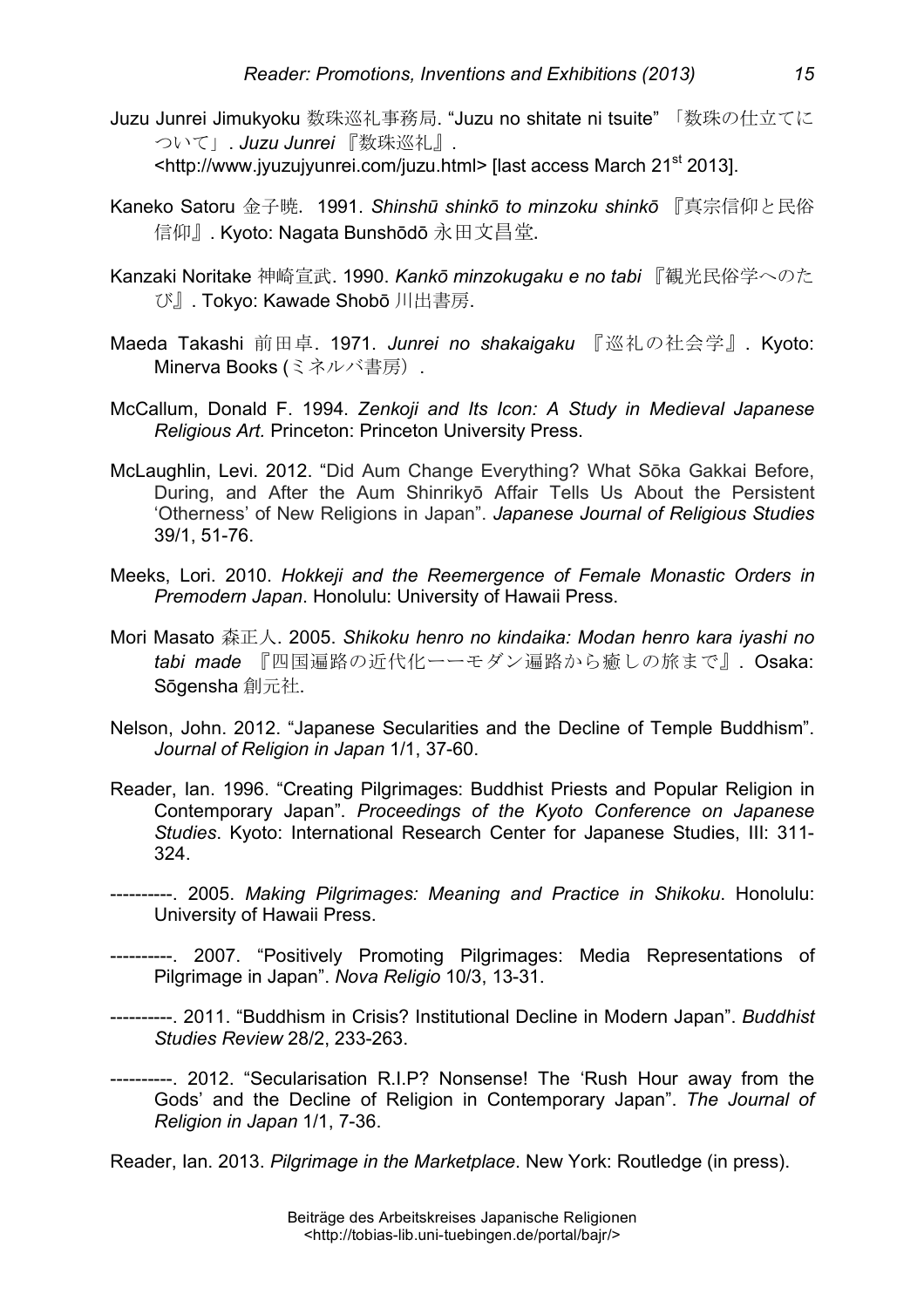- Juzu Junrei Jimukyoku 数珠巡礼事務局. "Juzu no shitate ni tsuite" 「数珠の仕立てに ついて」. *Juzu Junrei* 『数珠巡礼』. <http://www.jyuzujyunrei.com/juzu.html> [last access March 21st 2013].
- Kaneko Satoru 金子暁. 1991. *Shinshū shinkō to minzoku shinkō* 『真宗信仰と民俗 信仰』. Kyoto: Nagata Bunshōdō 永田文昌堂.
- Kanzaki Noritake 神崎宣武. 1990. *Kankō minzokugaku e no tabi* 『観光民俗学へのた び』. Tokyo: Kawade Shobō 川出書房.
- Maeda Takashi 前田卓. 1971. *Junrei no shakaigaku* 『巡礼の社会学』. Kyoto: Minerva Books (ミネルバ書房).
- McCallum, Donald F. 1994. *Zenkoji and Its Icon: A Study in Medieval Japanese Religious Art.* Princeton: Princeton University Press.
- McLaughlin, Levi. 2012. "Did Aum Change Everything? What Sōka Gakkai Before, During, and After the Aum Shinrikyō Affair Tells Us About the Persistent 'Otherness' of New Religions in Japan". *Japanese Journal of Religious Studies* 39/1, 51-76.
- Meeks, Lori. 2010. *Hokkeji and the Reemergence of Female Monastic Orders in Premodern Japan*. Honolulu: University of Hawaii Press.
- Mori Masato 森正人. 2005. *Shikoku henro no kindaika: Modan henro kara iyashi no tabi made* 『四国遍路の近代化ーーモダン遍路から癒しの旅まで』. Osaka: Sōgensha 創元社.
- Nelson, John. 2012. "Japanese Secularities and the Decline of Temple Buddhism". *Journal of Religion in Japan* 1/1, 37-60.
- Reader, Ian. 1996. "Creating Pilgrimages: Buddhist Priests and Popular Religion in Contemporary Japan". *Proceedings of the Kyoto Conference on Japanese Studies*. Kyoto: International Research Center for Japanese Studies, III: 311- 324.
- ----------. 2005. *Making Pilgrimages: Meaning and Practice in Shikoku*. Honolulu: University of Hawaii Press.
- ----------. 2007. "Positively Promoting Pilgrimages: Media Representations of Pilgrimage in Japan". *Nova Religio* 10/3, 13-31.
- ----------. 2011. "Buddhism in Crisis? Institutional Decline in Modern Japan". *Buddhist Studies Review* 28/2, 233-263.
- ----------. 2012. "Secularisation R.I.P? Nonsense! The 'Rush Hour away from the Gods' and the Decline of Religion in Contemporary Japan". *The Journal of Religion in Japan* 1/1, 7-36.

Reader, Ian. 2013. *Pilgrimage in the Marketplace*. New York: Routledge (in press).